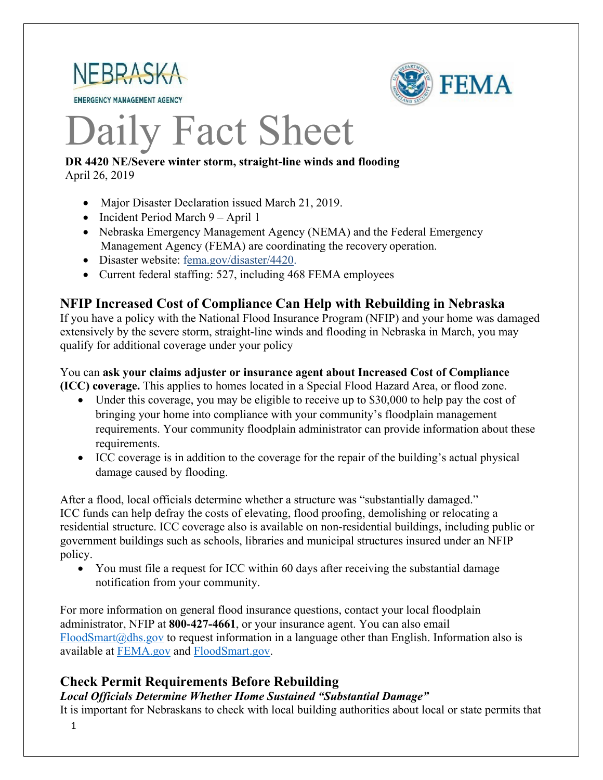

**EMERGENCY MANAGEMENT AGENCY** 



# Daily Fact Sheet

### **DR 4420 NE/Severe winter storm, straight-line winds and flooding** April 26, 2019

- Major Disaster Declaration issued March 21, 2019.
- Incident Period March 9 April 1
- Nebraska Emergency Management Agency (NEMA) and the Federal Emergency Management Agency (FEMA) are coordinating the recovery operation.
- Disaster website: [fema.gov/disaster/4420.](https://www.fema.gov/disaster/4420)
- Current federal staffing: 527, including 468 FEMA employees

### **NFIP Increased Cost of Compliance Can Help with Rebuilding in Nebraska**

If you have a policy with the National Flood Insurance Program (NFIP) and your home was damaged extensively by the severe storm, straight-line winds and flooding in Nebraska in March, you may qualify for additional coverage under your policy

### You can **ask your claims adjuster or insurance agent about Increased Cost of Compliance (ICC) coverage.** This applies to homes located in a Special Flood Hazard Area, or flood zone.

- Under this coverage, you may be eligible to receive up to \$30,000 to help pay the cost of bringing your home into compliance with your community's floodplain management requirements. Your community floodplain administrator can provide information about these requirements.
- ICC coverage is in addition to the coverage for the repair of the building's actual physical damage caused by flooding.

After a flood, local officials determine whether a structure was "substantially damaged." ICC funds can help defray the costs of elevating, flood proofing, demolishing or relocating a residential structure. ICC coverage also is available on non-residential buildings, including public or government buildings such as schools, libraries and municipal structures insured under an NFIP policy.

• You must file a request for ICC within 60 days after receiving the substantial damage notification from your community.

For more information on general flood insurance questions, contact your local floodplain administrator, NFIP at **800-427-4661**, or your insurance agent. You can also email  $F$ loodSmart $@$ dhs.gov to request information in a language other than English. Information also is available at [FEMA.gov](http://fema.gov/) and [FloodSmart.gov.](http://www.floodsmart.gov/)

### **Check Permit Requirements Before Rebuilding**

*Local Officials Determine Whether Home Sustained "Substantial Damage"*

It is important for Nebraskans to check with local building authorities about local or state permits that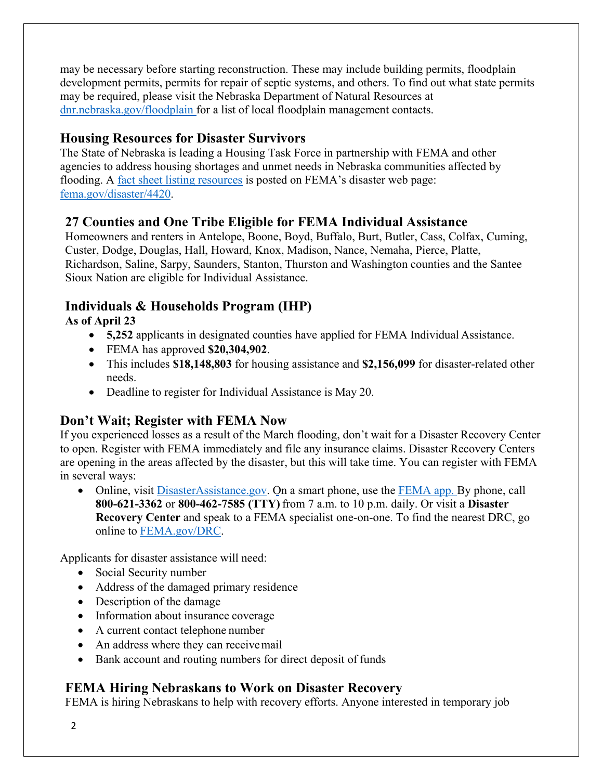may be necessary before starting reconstruction. These may include building permits, floodplain development permits, permits for repair of septic systems, and others. To find out what state permits may be required, please visit the Nebraska Department of Natural Resources at [dnr.nebraska.gov/floodplain](https://dnr.nebraska.gov/floodplain) for a list of local floodplain management contacts.

### **Housing Resources for Disaster Survivors**

The State of Nebraska is leading a Housing Task Force in partnership with FEMA and other agencies to address housing shortages and unmet needs in Nebraska communities affected by flooding. A [fact sheet listing resources](https://edit.fema.gov/news-release/2019/04/19/fact-sheet-housing-resources-residents-nebraska-affected-march-storms-0) is posted on FEMA's disaster web page: [fema.gov/disaster/4420.](http://www.fema.gov/disaster/4420)

### **27 Counties and One Tribe Eligible for FEMA Individual Assistance**

Homeowners and renters in Antelope, Boone, Boyd, Buffalo, Burt, Butler, Cass, Colfax, Cuming, Custer, Dodge, Douglas, Hall, Howard, Knox, Madison, Nance, Nemaha, Pierce, Platte, Richardson, Saline, Sarpy, Saunders, Stanton, Thurston and Washington counties and the Santee Sioux Nation are eligible for Individual Assistance.

# **Individuals & Households Program (IHP)**

**As of April 23**

- **5,252** applicants in designated counties have applied for FEMA Individual Assistance.
- FEMA has approved **\$20,304,902**.
- This includes **\$18,148,803** for housing assistance and **\$2,156,099** for disaster-related other needs.
- Deadline to register for Individual Assistance is May 20.

# **Don't Wait; Register with FEMA Now**

If you experienced losses as a result of the March flooding, don't wait for a Disaster Recovery Center to open. Register with FEMA immediately and file any insurance claims. Disaster Recovery Centers are opening in the areas affected by the disaster, but this will take time. You can register with FEMA in several ways:

• Online, visit [DisasterAssistance.gov.](https://disasterassistance.gov/) On a smart phone, use the [FEMA app.](https://www.fema.gov/mobile-app) By phone, call **800-621-3362** or **800-462-7585 (TTY)** from 7 a.m. to 10 p.m. daily. Or visit a **Disaster Recovery Center** and speak to a FEMA specialist one-on-one. To find the nearest DRC, go online to [FEMA.gov/DRC.](http://www.fema.gov/DRC)

Applicants for disaster assistance will need:

- Social Security number
- Address of the damaged primary residence
- Description of the damage
- Information about insurance coverage
- A current contact telephone number
- An address where they can receive mail
- Bank account and routing numbers for direct deposit of funds

# **FEMA Hiring Nebraskans to Work on Disaster Recovery**

FEMA is hiring Nebraskans to help with recovery efforts. Anyone interested in temporary job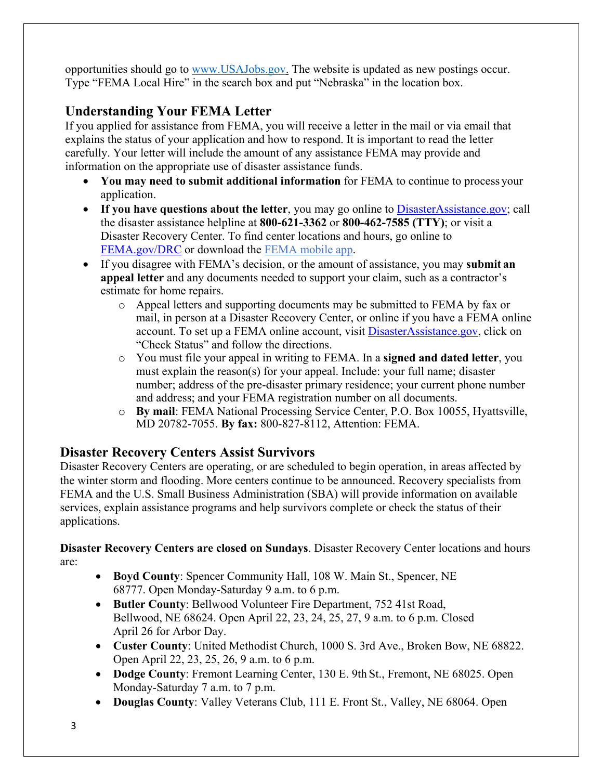opportunities should go to [www.USAJobs.gov.](http://www.usajobs.gov/) The website is updated as new postings occur. Type "FEMA Local Hire" in the search box and put "Nebraska" in the location box.

# **Understanding Your FEMA Letter**

If you applied for assistance from FEMA, you will receive a letter in the mail or via email that explains the status of your application and how to respond. It is important to read the letter carefully. Your letter will include the amount of any assistance FEMA may provide and information on the appropriate use of disaster assistance funds.

- **You may need to submit additional information** for FEMA to continue to process your application.
- If you have questions about the letter, you may go online to **DisasterAssistance.gov**; call the disaster assistance helpline at **800-621-3362** or **800-462-7585 (TTY)**; [or visit a](https://www.fema.gov/disaster-recovery-centers)  Disaster Recovery Center. To find center locations and hours, go online to [FEMA.gov/DRC](https://www.fema.gov/disaster-recovery-centers) or download the [FEMA mobile](https://www.fema.gov/mobile-app) app.
- If you disagree with FEMA's decision, or the amount of assistance, you may **submit an appeal letter** and any documents needed to support your claim, such as a contractor's estimate for home repairs.
	- o Appeal letters and supporting documents may be submitted to FEMA by fax or mail, in person at a Disaster Recovery Center, or online if you have a FEMA online account. To set up a FEMA online account, visit [DisasterAssistance.gov, c](http://www.disasterassistance.gov/)lick on "Check Status" and follow the directions.
	- o You must file your appeal in writing to FEMA. In a **signed and dated letter**, you must explain the reason(s) for your appeal. Include: your full name; disaster number; address of the pre-disaster primary residence; your current phone number and address; and your FEMA registration number on all documents.
	- o **By mail**: FEMA National Processing Service Center, P.O. Box 10055, Hyattsville, MD 20782-7055. **By fax:** 800-827-8112, Attention: FEMA.

### **Disaster Recovery Centers Assist Survivors**

Disaster Recovery Centers are operating, or are scheduled to begin operation, in areas affected by the winter storm and flooding. More centers continue to be announced. Recovery specialists from FEMA and the U.S. Small Business Administration (SBA) will provide information on available services, explain assistance programs and help survivors complete or check the status of their applications.

**Disaster Recovery Centers are closed on Sundays**. Disaster Recovery Center locations and hours are:

- **Boyd County**: Spencer Community Hall, 108 W. Main St., Spencer, NE 68777. Open Monday-Saturday 9 a.m. to 6 p.m.
- **Butler County**: Bellwood Volunteer Fire Department, 752 41st Road, Bellwood, NE 68624. Open April 22, 23, 24, 25, 27, 9 a.m. to 6 p.m. Closed April 26 for Arbor Day.
- **Custer County**: United Methodist Church, 1000 S. 3rd Ave., Broken Bow, NE 68822. Open April 22, 23, 25, 26, 9 a.m. to 6 p.m.
- **Dodge County**: Fremont Learning Center, 130 E. 9th St., Fremont, NE 68025. Open Monday-Saturday 7 a.m. to 7 p.m.
- **Douglas County**: Valley Veterans Club, 111 E. Front St., Valley, NE 68064. Open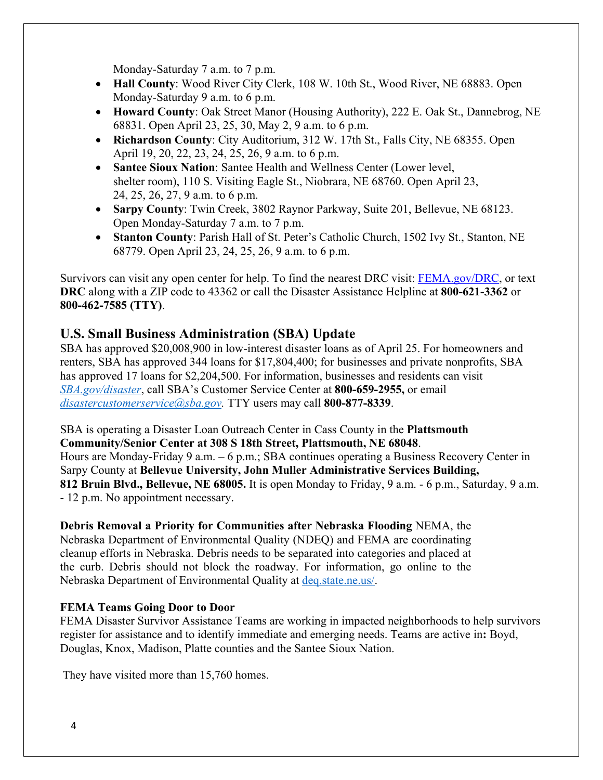Monday-Saturday 7 a.m. to 7 p.m.

- **Hall County**: Wood River City Clerk, 108 W. 10th St., Wood River, NE 68883. Open Monday-Saturday 9 a.m. to 6 p.m.
- **Howard County**: Oak Street Manor (Housing Authority), 222 E. Oak St., Dannebrog, NE 68831. Open April 23, 25, 30, May 2, 9 a.m. to 6 p.m.
- **Richardson County**: City Auditorium, 312 W. 17th St., Falls City, NE 68355. Open April 19, 20, 22, 23, 24, 25, 26, 9 a.m. to 6 p.m.
- **Santee Sioux Nation**: Santee Health and Wellness Center (Lower level, shelter room), 110 S. Visiting Eagle St., Niobrara, NE 68760. Open April 23, 24, 25, 26, 27, 9 a.m. to 6 p.m.
- **Sarpy County**: Twin Creek, 3802 Raynor Parkway, Suite 201, Bellevue, NE 68123. Open Monday-Saturday 7 a.m. to 7 p.m.
- **Stanton County**: Parish Hall of St. Peter's Catholic Church, 1502 Ivy St., Stanton, NE 68779. Open April 23, 24, 25, 26, 9 a.m. to 6 p.m.

Survivors can visit any open center for help. To find the nearest DRC visit: [FEMA.gov/DRC,](http://www.fema.gov/DRC) or text **DRC** along with a ZIP code to 43362 or call the Disaster Assistance Helpline at **800-621-3362** or **800-462-7585 (TTY)**.

### **U.S. Small Business Administration (SBA) Update**

SBA has approved \$20,008,900 in low-interest disaster loans as of April 25. For homeowners and renters, SBA has approved 344 loans for \$17,804,400; for businesses and private nonprofits, SBA has approved 17 loans for \$2,204,500. For information, businesses and residents can visit *[SBA.gov/disaster](http://www.sba.gov/disaster)*, call SBA's Customer Service Center at **800-659-2955,** or email *[disastercustomerservice@sba.gov.](mailto:disastercustomerservice@sba.gov)* TTY users may call **800-877-8339**.

SBA is operating a Disaster Loan Outreach Center in Cass County in the **Plattsmouth Community/Senior Center at 308 S 18th Street, Plattsmouth, NE 68048**. Hours are Monday-Friday 9 a.m. – 6 p.m.; SBA continues operating a Business Recovery Center in Sarpy County at **Bellevue University, John Muller Administrative Services Building, 812 Bruin Blvd., Bellevue, NE 68005.** It is open Monday to Friday, 9 a.m. - 6 p.m., Saturday, 9 a.m. - 12 p.m. No appointment necessary.

# **Debris Removal a Priority for Communities after Nebraska Flooding** NEMA, the

Nebraska Department of Environmental Quality (NDEQ) and FEMA are coordinating cleanup efforts in Nebraska. Debris needs to be separated into categories and placed at the curb. Debris should not block the roadway. For information, go online to the Nebraska Department of Environmental Quality at [deq.state.ne.us/.](http://www.deq.state.ne.us/)

### **FEMA Teams Going Door to Door**

FEMA Disaster Survivor Assistance Teams are working in impacted neighborhoods to help survivors register for assistance and to identify immediate and emerging needs. Teams are active in**:** Boyd, Douglas, Knox, Madison, Platte counties and the Santee Sioux Nation.

They have visited more than 15,760 homes.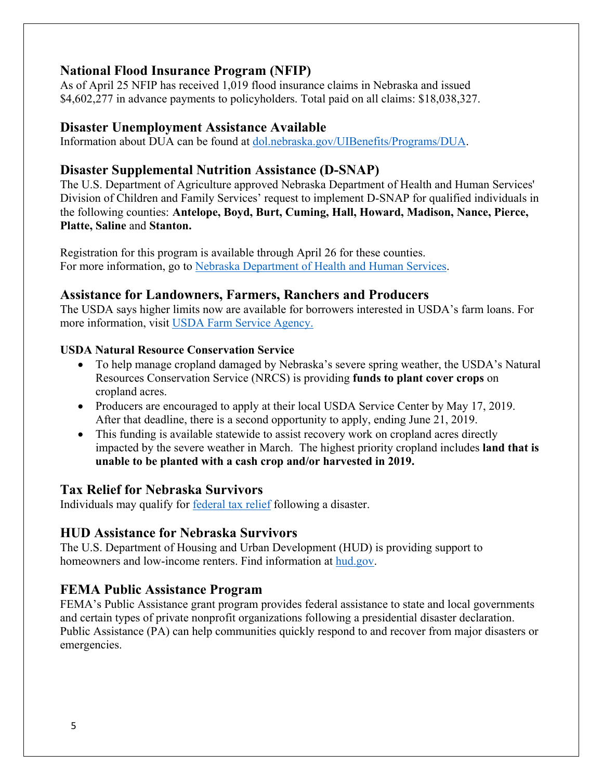### **National Flood Insurance Program (NFIP)**

As of April 25 NFIP has received 1,019 flood insurance claims in Nebraska and issued \$4,602,277 in advance payments to policyholders. Total paid on all claims: \$18,038,327.

### **Disaster Unemployment Assistance Available**

Information about DUA can be found at [dol.nebraska.gov/UIBenefits/Programs/DUA.](https://dol.nebraska.gov/UIBenefits/Programs/DUA)

### **Disaster Supplemental Nutrition Assistance (D-SNAP)**

The U.S. Department of Agriculture approved Nebraska Department of Health and Human Services' Division of Children and Family Services' request to implement D-SNAP for qualified individuals in the following counties: **Antelope, Boyd, Burt, Cuming, Hall, Howard, Madison, Nance, Pierce, Platte, Saline** and **Stanton.**

Registration for this program is available through April 26 for these counties. For more information, go to [Nebraska Department of Health and Human Services.](http://dhhs.ne.gov/Pages/Residents-of-12-More-Nebraska-Counties-Are-Eligible-for-Disaster-SNAP.aspx)

### **Assistance for Landowners, Farmers, Ranchers and Producers**

The USDA says higher limits now are available for borrowers interested in USDA's farm loans. For more information, visit [USDA Farm Service Agency.](https://www.fsa.usda.gov/)

### **USDA Natural Resource Conservation Service**

- To help manage cropland damaged by Nebraska's severe spring weather, the USDA's Natural Resources Conservation Service (NRCS) is providing **funds to plant cover crops** on cropland acres.
- Producers are encouraged to apply at their local USDA Service Center by May 17, 2019. After that deadline, there is a second opportunity to apply, ending June 21, 2019.
- This funding is available statewide to assist recovery work on cropland acres directly impacted by the severe weather in March. The highest priority cropland includes **land that is unable to be planted with a cash crop and/or harvested in 2019.**

### **Tax Relief for Nebraska Survivors**

Individuals may qualify for federal tax relief [following a disaster.](https://www.irs.gov/newsroom/irs-announces-tax-relief-for-nebraska-victims-of-severe-winter-storm-straight-line-winds-and-flooding)

### **HUD Assistance for Nebraska Survivors**

The U.S. Department of Housing and Urban Development (HUD) is providing support to homeowners and low-income renters. Find information at [hud.gov.](https://www.hud.gov/)

### **FEMA Public Assistance Program**

FEMA's Public Assistance grant program provides federal assistance to state and local governments and certain types of private nonprofit organizations following a presidential disaster declaration. Public Assistance (PA) can help communities quickly respond to and recover from major disasters or emergencies.